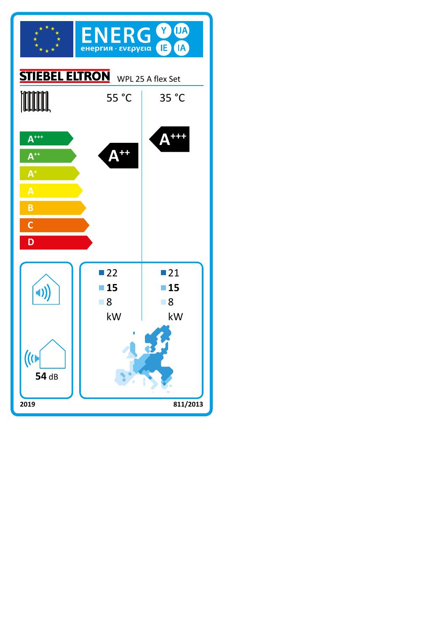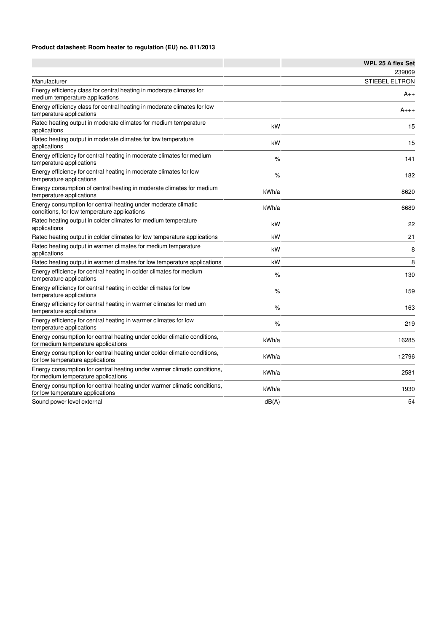## **Product datasheet: Room heater to regulation (EU) no. 811/2013**

|                                                                                                                 |       | <b>WPL 25 A flex Set</b> |
|-----------------------------------------------------------------------------------------------------------------|-------|--------------------------|
|                                                                                                                 |       | 239069                   |
| Manufacturer                                                                                                    |       | STIEBEL ELTRON           |
| Energy efficiency class for central heating in moderate climates for<br>medium temperature applications         |       | $A_{++}$                 |
| Energy efficiency class for central heating in moderate climates for low<br>temperature applications            |       | $A_{+++}$                |
| Rated heating output in moderate climates for medium temperature<br>applications                                | kW    | 15                       |
| Rated heating output in moderate climates for low temperature<br>applications                                   | kW    | 15                       |
| Energy efficiency for central heating in moderate climates for medium<br>temperature applications               | %     | 141                      |
| Energy efficiency for central heating in moderate climates for low<br>temperature applications                  | $\%$  | 182                      |
| Energy consumption of central heating in moderate climates for medium<br>temperature applications               | kWh/a | 8620                     |
| Energy consumption for central heating under moderate climatic<br>conditions, for low temperature applications  | kWh/a | 6689                     |
| Rated heating output in colder climates for medium temperature<br>applications                                  | kW    | 22                       |
| Rated heating output in colder climates for low temperature applications                                        | kW    | 21                       |
| Rated heating output in warmer climates for medium temperature<br>applications                                  | kW    | 8                        |
| Rated heating output in warmer climates for low temperature applications                                        | kW    | 8                        |
| Energy efficiency for central heating in colder climates for medium<br>temperature applications                 | $\%$  | 130                      |
| Energy efficiency for central heating in colder climates for low<br>temperature applications                    | $\%$  | 159                      |
| Energy efficiency for central heating in warmer climates for medium<br>temperature applications                 | $\%$  | 163                      |
| Energy efficiency for central heating in warmer climates for low<br>temperature applications                    | $\%$  | 219                      |
| Energy consumption for central heating under colder climatic conditions,<br>for medium temperature applications | kWh/a | 16285                    |
| Energy consumption for central heating under colder climatic conditions,<br>for low temperature applications    | kWh/a | 12796                    |
| Energy consumption for central heating under warmer climatic conditions,<br>for medium temperature applications | kWh/a | 2581                     |
| Energy consumption for central heating under warmer climatic conditions,<br>for low temperature applications    | kWh/a | 1930                     |
| Sound power level external                                                                                      | dB(A) | 54                       |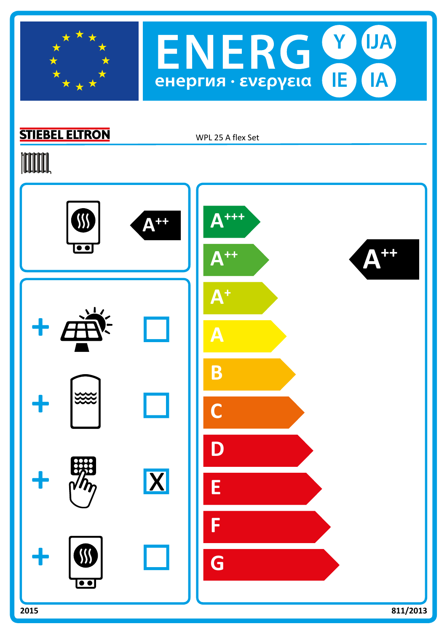



## **STIEBEL ELTRON**

WPL 25 A flex Set

## **TOOTAL**

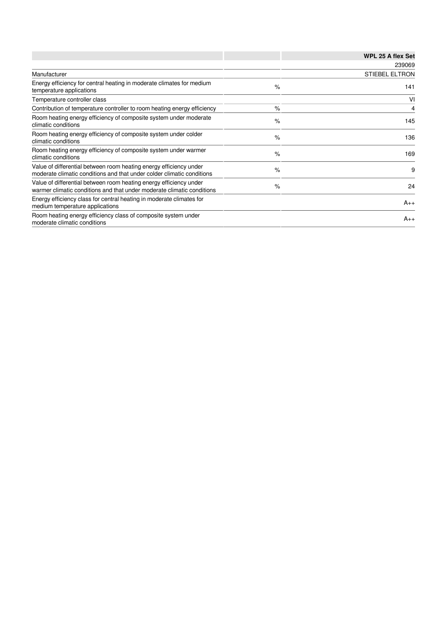|                                                                                                                                              |      | WPL 25 A flex Set     |
|----------------------------------------------------------------------------------------------------------------------------------------------|------|-----------------------|
|                                                                                                                                              |      | 239069                |
| Manufacturer                                                                                                                                 |      | <b>STIEBEL ELTRON</b> |
| Energy efficiency for central heating in moderate climates for medium<br>temperature applications                                            | $\%$ | 141                   |
| Temperature controller class                                                                                                                 |      | VI                    |
| Contribution of temperature controller to room heating energy efficiency                                                                     | $\%$ | 4                     |
| Room heating energy efficiency of composite system under moderate<br>climatic conditions                                                     | $\%$ | 145                   |
| Room heating energy efficiency of composite system under colder<br>climatic conditions                                                       | $\%$ | 136                   |
| Room heating energy efficiency of composite system under warmer<br>climatic conditions                                                       | $\%$ | 169                   |
| Value of differential between room heating energy efficiency under<br>moderate climatic conditions and that under colder climatic conditions | $\%$ | 9                     |
| Value of differential between room heating energy efficiency under<br>warmer climatic conditions and that under moderate climatic conditions | $\%$ | 24                    |
| Energy efficiency class for central heating in moderate climates for<br>medium temperature applications                                      |      | $A_{++}$              |
| Room heating energy efficiency class of composite system under<br>moderate climatic conditions                                               |      | $A_{++}$              |